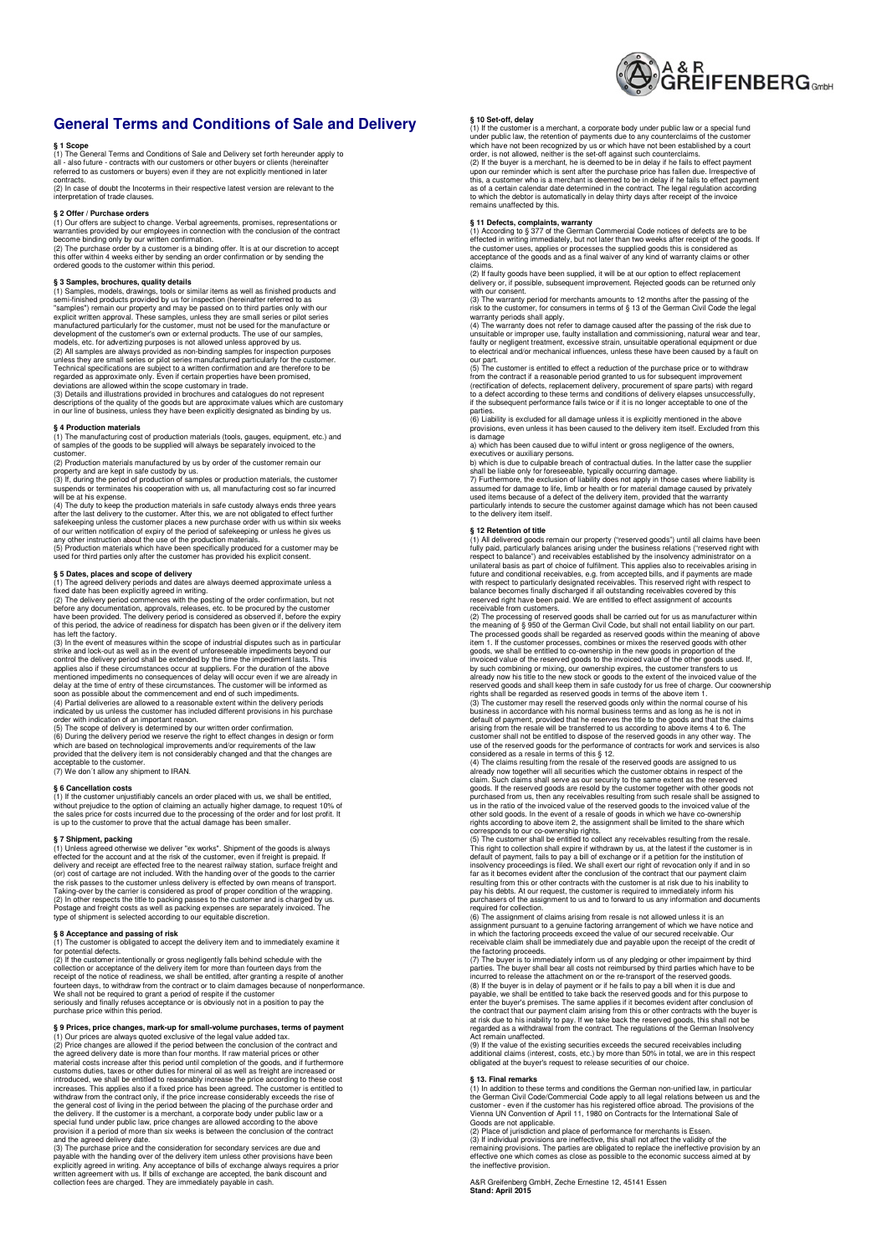

## **General Terms and Conditions of Sale and Delivery**

§ 1 Scope<br>
all - also four-<br>
all - also future - contracts with our customers or other buyers or clients (hereinafter<br>
call - also future - contracts with our customers or other buyers or clients (hereinafter<br>
contracts.<br>

interpretation of trade clauses.

## **§ 2 Offer / Purchase orders**

(1) Our offers are subject to change. Verbal agreements, promises, representations or warranties provided by our employees in connection with the conclusion of the contract become binding only by our written confirmation.

(2) The purchase order by a customer is a binding offer. It is at our discretion to accept this offer within 4 weeks either by sending an order confirmation or by sending the ordered goods to the customer within this period.

§ 3 Samples, brochures, quality details<br>and the standard consider and the standard consider symbles, models, drawings, tools or similar items as well as finished products and the samples") emain our properly and may be pas

descriptions of the quality of the goods but are approximate values which are customary in our line of business, unless they have been explicitly designated as binding by us.

**§ 4 Production materials**  (1) The manufacturing cost of production materials (tools, gauges, equipment, etc.) and of samples of the goods to be supplied will always be separately invoiced to the

customer. (2) Production materials manufactured by us by order of the customer remain our

property and are kept in safe custody by us. (3) If, during the period of production of samples or production materials, the customer

suspends or terminates his cooperation with us, all manufacturing cost so far incurred<br>suspends or terminates his cooperation materials in safe custody always ends three years<br>4(4) The duly to keep the production materials

**§ 5 Dates, places and scope of delivery**  (1) The agreed delivery periods and dates are always deemed approximate unless a

fixed date has been explicitly agreed in writing. (2) The delivery period commences with the posting of the order confirmation, but not before any documentation, approvals, releases, etc. to be procured by the customer<br>have been provided. The delivery period is considered as observed if, before the expiry<br>of this period, the advice of readiness for dispatc has left the factory.<br>
(3) In the event of measures within the scope of industrial disputes such as in particular

(3) In the event of measures within the scope of industrial disputes such as in particular<br>strike and lock-out as well as in the event of unforeseable impediments beyond our<br>control the delivery period shall be extended by

### **§ 6 Cancellation costs**

(1) If the customer unjustifiably cancels an order placed with us, we shall be entitled,<br>without prejudice to the option of claiming an actually higher damage, to request 10% of<br>the sales price for costs incurred due to th

§7 Shipment, packing<br>in the goods is always (1) Unless agreed otherwise we deliver "ex works". Shipment of the goods is always<br>effected for the account and at the risk of the customer, even if freight is prepaid. If<br>delive

**§ 8 Acceptance and passing of risk**  (1) The customer is obligated to accept the delivery item and to immediately examine it for potential defects. (2) If the customer intentionally or gross negligently falls behind schedule with the

collection or acceptance of the delivery item for more than fourteen days from the<br>receipt of the notice of readiness, we shall be entitled, after granting a respite of another<br>fourteen days, to withdraw from the contract We shall not be required to grant a period of respite if the customer seriously and finally refuses acceptance or is obviously not in a position to pay the purchase price within this period.

§ 9 Prices, price changes, mark-up for small-volume purchases, terms of payment<br>(1) Our prices are always quoted exclusive of the legal value added tax.<br>(2) Price changes are allowed if the period between the conclusion of the general cost of living in the period between the placing of the purchase order and the delivery. If the customer is a merchant, a corporate body under public law or a special fund under public law, price changes are allowed according to the above provision if a period of more than six weeks is between the conclusion of the contract and the agreed delivery date.

(3) The purchase price and the consideration for secondary services are due and payable with the handing over of the delivery item unless other provisions have been<br>explicitly agreed in writing. Any acceptance of bills of exchange always requires a prior<br>written agreement with us. If bills of exchange

§ 10 Set-off, delay<br>c(1) If the customer is a merchant, a corporate body under public law or a special fund<br>under public law, the retention of payments due to any counterclaims of the customer<br>which have not been recognize

**§ 11 Defects, complaints, warranty**<br>(1) According to § 377 of the German Commercial Code notices of defects are to be<br>effected in writing immediately, but not later than two weeks after receipt of the goods. If the customer uses, applies or processes the supplied goods this is considered as acceptance of the goods and as a final waiver of any kind of warranty claims or other claims.

(2) If faulty goods have been supplied, it will be at our option to effect replacement delivery or, if possible, subsequent improvement. Rejected goods can be returned only with our consent.

whit four consent.<br>(3) The warranty period for merchants amounts to 12 months after the passing of the<br>risk to the customer, for consumers in terms of § 13 of the German Civil Code the legal

risk to the customer, for consumers in terms of § 13 of the German Civil Code the legal<br>warranty periods shall apply.<br>(4) The warranty does not refer to damage caused after the passing of the risk due to<br>unsuitable or impr

our part. (5) The customer is entitled to effect a reduction of the purchase price or to withdraw from the contract if a reasonable period granted to us for subsequent improvement<br>(rectification of defects, replacement delivery, procurement of spare parts) with regard<br>to a defect according to these terms and conditions

parties.<br>(6) Liability is excluded for all damage unless it is explicitly mentioned in the above (6) Liability is excluded for all damage unless it is explicitly mentioned in the above provisions, even unless it has been caused to the delivery item itself. Excluded from this is damage

a) which has been caused due to wilful intent or gross negligence of the owners,

executives or auxiliary persons.<br>b) which is due to culpable breach of contractual duties. In the latter case the supplier

b) which is due to culpable breach of contractual duties. In the latter case the supplier<br>shall be liable only for foreseable, typically occurring damage.<br>7) Furthermore, the exclusion of liability does not apply in those

§ 12 Retention of title consistencies ("reserved goods") until all claims have been<br>(1) All delivered goods remain our property ("reserved goods") until all claims have been<br>tully paid, particularly balances arising under balance becomes finally discharged if all outstanding receivables covered by this reserved right have been paid. We are entitled to effect assignment of accounts

receivable from customers. (2) The processing of reserved goods shall be carried out for us as manufacturer within the meaning of § 950 of the German Civil Code, but shall not entail liability on our part.<br>The processed goods shall be regarded as reserved goods within the meaning of above<br>item 1. If the customer processes, combines or

claready now together will all securities which the customer obtains in respect of the claim. Such claims shall serve as our security to the same extent as the reserved goods. If the reserved goods are resold by the customer together with other goods not purchased from us, then any receivables resulting from such resale shall be assigned to<br>us in the ratio of the invoiced value of the reserved goods to the invoiced value of the<br>other sold goods. In the event of a resale of

corresponds to our co-commership rights.<br>
(5) The customer shall be entitled to collect any receivables resulting from the resale.<br>
This right to collection shall expire if withdrawn by us, at the latest if the customer is

(6) The assignment of claims arising from resale is not allowed unless it is an<br>assignment pursuant to a genuine factoring arrangement of which we have notice and<br>in which the factoring proceeds exceed the value of our sec

the factoring proceeds.<br>(7) The buyer is to immediately inform us of any pledging or other impairment by third<br>parties. The buyer shall bear all costs not reimbursed by third parties which have to be

incurred to release the attachment on or the re-transport of the reserved goods.<br>(8) If the buyer is in delay of payment or if he fails to pay a bill when it is due and<br>payable, we shall be entitled to take back the reserv

(9) If the value of the existing securities exceeds the secured receivables including<br>additional claims (interest, costs, etc.) by more than 50% in total, we are in this respect<br>obligated at the buyer's request to release

**§ 13. Final remarks**<br>(1) In addition to these terms and conditions the German non-unified law, in particular<br>the German Civil Code/Commercial Code apply to all legal relations between us and the customer - even if the customer has his registered office abroad. The provisions of the Vienna UN Convention of April 11, 1980 on Contracts for the International Sale of Goods are not applicable.

(2) Place of jurisdiction and place of performance for merchants is Essen. (3) If individual provisions are ineffective, this shall not affect the validity of the

remaining provisions. The parties are obligated to replace the ineffective provision by an effective one which comes as close as possible to the economic success aimed at by the ineffective provision.

A&R Greifenberg GmbH, Zeche Ernestine 12, 45141 Essen **Stand: April 2015**